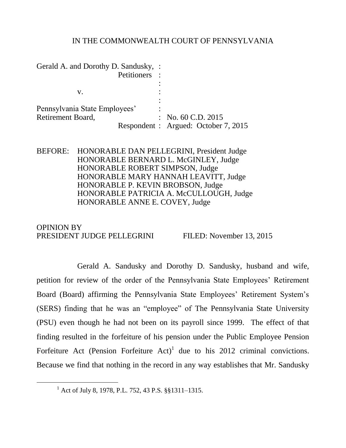## IN THE COMMONWEALTH COURT OF PENNSYLVANIA

| Gerald A. and Dorothy D. Sandusky, : |                                      |
|--------------------------------------|--------------------------------------|
|                                      | Petitioners :                        |
|                                      |                                      |
| V.                                   |                                      |
| Pennsylvania State Employees'        |                                      |
| Retirement Board,                    | : No. 60 C.D. 2015                   |
|                                      | Respondent : Argued: October 7, 2015 |

BEFORE: HONORABLE DAN PELLEGRINI, President Judge HONORABLE BERNARD L. McGINLEY, Judge HONORABLE ROBERT SIMPSON, Judge HONORABLE MARY HANNAH LEAVITT, Judge HONORABLE P. KEVIN BROBSON, Judge HONORABLE PATRICIA A. McCULLOUGH, Judge HONORABLE ANNE E. COVEY, Judge

OPINION BY PRESIDENT JUDGE PELLEGRINI FILED: November 13, 2015

Gerald A. Sandusky and Dorothy D. Sandusky, husband and wife, petition for review of the order of the Pennsylvania State Employees' Retirement Board (Board) affirming the Pennsylvania State Employees' Retirement System's (SERS) finding that he was an "employee" of The Pennsylvania State University (PSU) even though he had not been on its payroll since 1999. The effect of that finding resulted in the forfeiture of his pension under the Public Employee Pension Forfeiture Act (Pension Forfeiture Act)<sup>1</sup> due to his 2012 criminal convictions. Because we find that nothing in the record in any way establishes that Mr. Sandusky

<sup>1</sup> Act of July 8, 1978, P.L. 752, 43 P.S. §§1311–1315.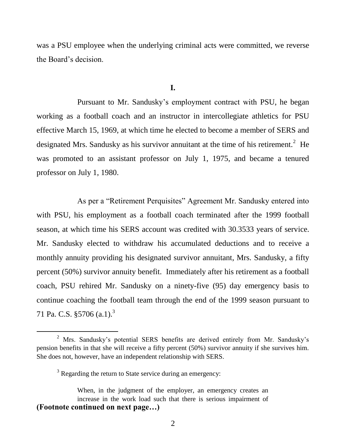was a PSU employee when the underlying criminal acts were committed, we reverse the Board's decision.

## **I.**

Pursuant to Mr. Sandusky's employment contract with PSU, he began working as a football coach and an instructor in intercollegiate athletics for PSU effective March 15, 1969, at which time he elected to become a member of SERS and designated Mrs. Sandusky as his survivor annuitant at the time of his retirement.<sup>2</sup> He was promoted to an assistant professor on July 1, 1975, and became a tenured professor on July 1, 1980.

As per a "Retirement Perquisites" Agreement Mr. Sandusky entered into with PSU, his employment as a football coach terminated after the 1999 football season, at which time his SERS account was credited with 30.3533 years of service. Mr. Sandusky elected to withdraw his accumulated deductions and to receive a monthly annuity providing his designated survivor annuitant, Mrs. Sandusky, a fifty percent (50%) survivor annuity benefit. Immediately after his retirement as a football coach, PSU rehired Mr. Sandusky on a ninety-five (95) day emergency basis to continue coaching the football team through the end of the 1999 season pursuant to 71 Pa. C.S.  $\S 5706$  (a.1).<sup>3</sup>

<sup>2</sup> Mrs. Sandusky's potential SERS benefits are derived entirely from Mr. Sandusky's pension benefits in that she will receive a fifty percent (50%) survivor annuity if she survives him. She does not, however, have an independent relationship with SERS.

<sup>&</sup>lt;sup>3</sup> Regarding the return to State service during an emergency:

When, in the judgment of the employer, an emergency creates an increase in the work load such that there is serious impairment of **(Footnote continued on next page…)**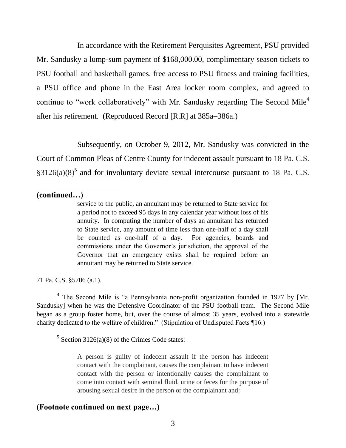In accordance with the Retirement Perquisites Agreement, PSU provided Mr. Sandusky a lump-sum payment of \$168,000.00, complimentary season tickets to PSU football and basketball games, free access to PSU fitness and training facilities, a PSU office and phone in the East Area locker room complex, and agreed to continue to "work collaboratively" with Mr. Sandusky regarding The Second Mile<sup>4</sup> after his retirement. (Reproduced Record [R.R] at  $385a-386a$ .)

Subsequently, on October 9, 2012, Mr. Sandusky was convicted in the Court of Common Pleas of Centre County for indecent assault pursuant to 18 Pa. C.S.  $§3126(a)(8)^5$  and for involuntary deviate sexual intercourse pursuant to 18 Pa. C.S.

**(continued…)**

 $\overline{a}$ 

service to the public, an annuitant may be returned to State service for a period not to exceed 95 days in any calendar year without loss of his annuity. In computing the number of days an annuitant has returned to State service, any amount of time less than one-half of a day shall be counted as one-half of a day. For agencies, boards and commissions under the Governor's jurisdiction, the approval of the Governor that an emergency exists shall be required before an annuitant may be returned to State service.

71 Pa. C.S. §5706 (a.1).

<sup>4</sup> The Second Mile is "a Pennsylvania non-profit organization founded in 1977 by [Mr. Sandusky] when he was the Defensive Coordinator of the PSU football team. The Second Mile began as a group foster home, but, over the course of almost 35 years, evolved into a statewide charity dedicated to the welfare of children." (Stipulation of Undisputed Facts ¶16.)

 $5$  Section 3126(a)(8) of the Crimes Code states:

A person is guilty of indecent assault if the person has indecent contact with the complainant, causes the complainant to have indecent contact with the person or intentionally causes the complainant to come into contact with seminal fluid, urine or feces for the purpose of arousing sexual desire in the person or the complainant and:

## **(Footnote continued on next page…)**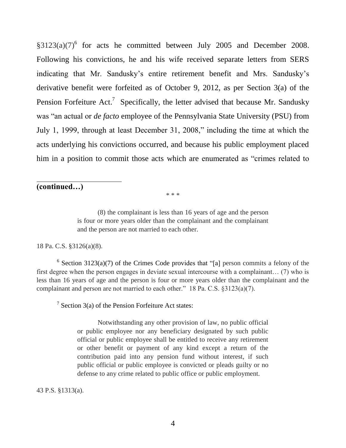$\S 3123(a)(7)^6$  for acts he committed between July 2005 and December 2008. Following his convictions, he and his wife received separate letters from SERS indicating that Mr. Sandusky's entire retirement benefit and Mrs. Sandusky's derivative benefit were forfeited as of October 9, 2012, as per Section 3(a) of the Pension Forfeiture Act.<sup>7</sup> Specifically, the letter advised that because Mr. Sandusky was "an actual or *de facto* employee of the Pennsylvania State University (PSU) from July 1, 1999, through at least December 31, 2008," including the time at which the acts underlying his convictions occurred, and because his public employment placed him in a position to commit those acts which are enumerated as "crimes related to

# **(continued…)**

 $\overline{a}$ 

\* \* \*

(8) the complainant is less than 16 years of age and the person is four or more years older than the complainant and the complainant and the person are not married to each other.

### 18 Pa. C.S. §3126(a)(8).

 $6$  Section 3123(a)(7) of the Crimes Code provides that "[a] person commits a felony of the first degree when the person engages in deviate sexual intercourse with a complainant… (7) who is less than 16 years of age and the person is four or more years older than the complainant and the complainant and person are not married to each other." 18 Pa. C.S. §3123(a)(7).

<sup>7</sup> Section 3(a) of the Pension Forfeiture Act states:

Notwithstanding any other provision of law, no public official or public employee nor any beneficiary designated by such public official or public employee shall be entitled to receive any retirement or other benefit or payment of any kind except a return of the contribution paid into any pension fund without interest, if such public official or public employee is convicted or pleads guilty or no defense to any crime related to public office or public employment.

43 P.S. §1313(a).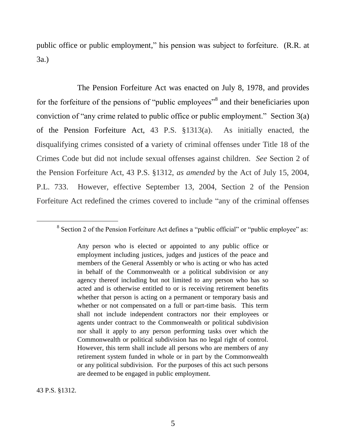public office or public employment," his pension was subject to forfeiture. (R.R. at 3a.)

The Pension Forfeiture Act was enacted on July 8, 1978, and provides for the forfeiture of the pensions of "public employees"<sup>8</sup> and their beneficiaries upon conviction of "any crime related to public office or public employment." Section 3(a) of the Pension Forfeiture Act, 43 P.S. §1313(a). As initially enacted, the disqualifying crimes consisted of a variety of criminal offenses under Title 18 of the Crimes Code but did not include sexual offenses against children. *See* Section 2 of the Pension Forfeiture Act, 43 P.S. §1312, *as amended* by the Act of July 15, 2004, P.L. 733. However, effective September 13, 2004, Section 2 of the Pension Forfeiture Act redefined the crimes covered to include "any of the criminal offenses

43 P.S. §1312.

<sup>&</sup>lt;sup>8</sup> Section 2 of the Pension Forfeiture Act defines a "public official" or "public employee" as:

Any person who is elected or appointed to any public office or employment including justices, judges and justices of the peace and members of the General Assembly or who is acting or who has acted in behalf of the Commonwealth or a political subdivision or any agency thereof including but not limited to any person who has so acted and is otherwise entitled to or is receiving retirement benefits whether that person is acting on a permanent or temporary basis and whether or not compensated on a full or part-time basis. This term shall not include independent contractors nor their employees or agents under contract to the Commonwealth or political subdivision nor shall it apply to any person performing tasks over which the Commonwealth or political subdivision has no legal right of control. However, this term shall include all persons who are members of any retirement system funded in whole or in part by the Commonwealth or any political subdivision. For the purposes of this act such persons are deemed to be engaged in public employment.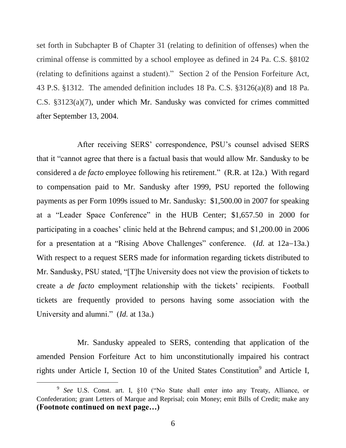set forth in Subchapter B of Chapter 31 (relating to definition of offenses) when the criminal offense is committed by a school employee as defined in 24 Pa. C.S. §8102 (relating to definitions against a student)." Section 2 of the Pension Forfeiture Act, 43 P.S. §1312. The amended definition includes 18 Pa. C.S. §3126(a)(8) and 18 Pa. C.S. §3123(a)(7), under which Mr. Sandusky was convicted for crimes committed after September 13, 2004.

After receiving SERS' correspondence, PSU's counsel advised SERS that it "cannot agree that there is a factual basis that would allow Mr. Sandusky to be considered a *de facto* employee following his retirement." (R.R. at 12a.) With regard to compensation paid to Mr. Sandusky after 1999, PSU reported the following payments as per Form 1099s issued to Mr. Sandusky: \$1,500.00 in 2007 for speaking at a "Leader Space Conference" in the HUB Center; \$1,657.50 in 2000 for participating in a coaches' clinic held at the Behrend campus; and \$1,200.00 in 2006 for a presentation at a "Rising Above Challenges" conference. (*Id.* at 12a–13a.) With respect to a request SERS made for information regarding tickets distributed to Mr. Sandusky, PSU stated, "[T]he University does not view the provision of tickets to create a *de facto* employment relationship with the tickets' recipients. Football tickets are frequently provided to persons having some association with the University and alumni." (*Id.* at 13a.)

Mr. Sandusky appealed to SERS, contending that application of the amended Pension Forfeiture Act to him unconstitutionally impaired his contract rights under Article I, Section 10 of the United States Constitution<sup>9</sup> and Article I,

<sup>9</sup> *See* U.S. Const. art. I, §10 ("No State shall enter into any Treaty, Alliance, or Confederation; grant Letters of Marque and Reprisal; coin Money; emit Bills of Credit; make any **(Footnote continued on next page…)**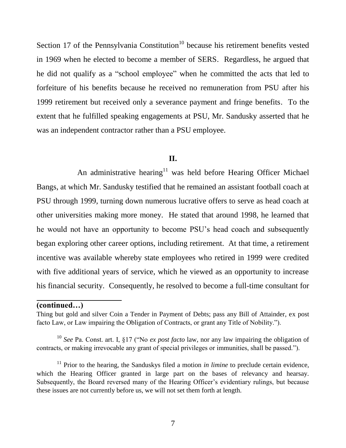Section 17 of the Pennsylvania Constitution<sup>10</sup> because his retirement benefits vested in 1969 when he elected to become a member of SERS. Regardless, he argued that he did not qualify as a "school employee" when he committed the acts that led to forfeiture of his benefits because he received no remuneration from PSU after his 1999 retirement but received only a severance payment and fringe benefits. To the extent that he fulfilled speaking engagements at PSU, Mr. Sandusky asserted that he was an independent contractor rather than a PSU employee.

## **II.**

An administrative hearing<sup>11</sup> was held before Hearing Officer Michael Bangs, at which Mr. Sandusky testified that he remained an assistant football coach at PSU through 1999, turning down numerous lucrative offers to serve as head coach at other universities making more money. He stated that around 1998, he learned that he would not have an opportunity to become PSU's head coach and subsequently began exploring other career options, including retirement. At that time, a retirement incentive was available whereby state employees who retired in 1999 were credited with five additional years of service, which he viewed as an opportunity to increase his financial security. Consequently, he resolved to become a full-time consultant for

## **(continued…)**

 $\overline{a}$ 

Thing but gold and silver Coin a Tender in Payment of Debts; pass any Bill of Attainder, ex post facto Law, or Law impairing the Obligation of Contracts, or grant any Title of Nobility.").

<sup>10</sup> *See* Pa. Const. art. I, §17 ("No *ex post facto* law, nor any law impairing the obligation of contracts, or making irrevocable any grant of special privileges or immunities, shall be passed.").

<sup>&</sup>lt;sup>11</sup> Prior to the hearing, the Sanduskys filed a motion *in limine* to preclude certain evidence, which the Hearing Officer granted in large part on the bases of relevancy and hearsay. Subsequently, the Board reversed many of the Hearing Officer's evidentiary rulings, but because these issues are not currently before us, we will not set them forth at length.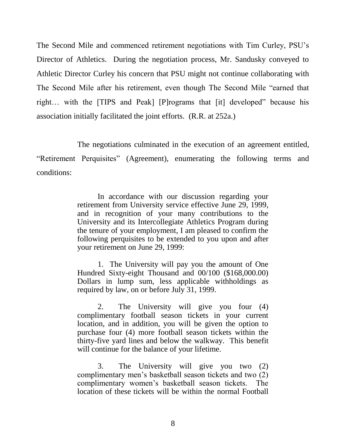The Second Mile and commenced retirement negotiations with Tim Curley, PSU's Director of Athletics. During the negotiation process, Mr. Sandusky conveyed to Athletic Director Curley his concern that PSU might not continue collaborating with The Second Mile after his retirement, even though The Second Mile "earned that right… with the [TIPS and Peak] [P]rograms that [it] developed" because his association initially facilitated the joint efforts. (R.R. at 252a.)

The negotiations culminated in the execution of an agreement entitled, "Retirement Perquisites" (Agreement), enumerating the following terms and conditions:

> In accordance with our discussion regarding your retirement from University service effective June 29, 1999, and in recognition of your many contributions to the University and its Intercollegiate Athletics Program during the tenure of your employment, I am pleased to confirm the following perquisites to be extended to you upon and after your retirement on June 29, 1999:

> 1. The University will pay you the amount of One Hundred Sixty-eight Thousand and 00/100 (\$168,000.00) Dollars in lump sum, less applicable withholdings as required by law, on or before July 31, 1999.

> 2. The University will give you four (4) complimentary football season tickets in your current location, and in addition, you will be given the option to purchase four (4) more football season tickets within the thirty-five yard lines and below the walkway. This benefit will continue for the balance of your lifetime.

> 3. The University will give you two (2) complimentary men's basketball season tickets and two (2) complimentary women's basketball season tickets. The location of these tickets will be within the normal Football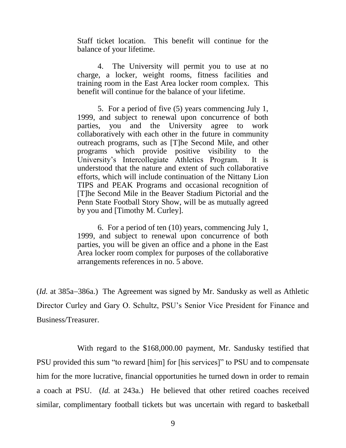Staff ticket location. This benefit will continue for the balance of your lifetime.

4. The University will permit you to use at no charge, a locker, weight rooms, fitness facilities and training room in the East Area locker room complex. This benefit will continue for the balance of your lifetime.

5. For a period of five (5) years commencing July 1, 1999, and subject to renewal upon concurrence of both parties, you and the University agree to work collaboratively with each other in the future in community outreach programs, such as [T]he Second Mile, and other programs which provide positive visibility to the University's Intercollegiate Athletics Program. It is understood that the nature and extent of such collaborative efforts, which will include continuation of the Nittany Lion TIPS and PEAK Programs and occasional recognition of [T]he Second Mile in the Beaver Stadium Pictorial and the Penn State Football Story Show, will be as mutually agreed by you and [Timothy M. Curley].

6. For a period of ten (10) years, commencing July 1, 1999, and subject to renewal upon concurrence of both parties, you will be given an office and a phone in the East Area locker room complex for purposes of the collaborative arrangements references in no. 5 above.

(*Id.* at 385a–386a.) The Agreement was signed by Mr. Sandusky as well as Athletic Director Curley and Gary O. Schultz, PSU's Senior Vice President for Finance and Business/Treasurer.

With regard to the \$168,000.00 payment, Mr. Sandusky testified that PSU provided this sum "to reward [him] for [his services]" to PSU and to compensate him for the more lucrative, financial opportunities he turned down in order to remain a coach at PSU. (*Id.* at 243a.) He believed that other retired coaches received similar, complimentary football tickets but was uncertain with regard to basketball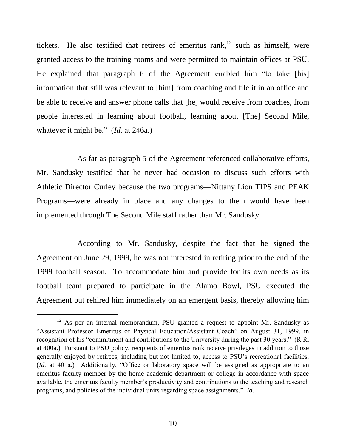tickets. He also testified that retirees of emeritus rank,  $12$  such as himself, were granted access to the training rooms and were permitted to maintain offices at PSU. He explained that paragraph 6 of the Agreement enabled him "to take [his] information that still was relevant to [him] from coaching and file it in an office and be able to receive and answer phone calls that [he] would receive from coaches, from people interested in learning about football, learning about [The] Second Mile, whatever it might be." (*Id.* at 246a.)

As far as paragraph 5 of the Agreement referenced collaborative efforts, Mr. Sandusky testified that he never had occasion to discuss such efforts with Athletic Director Curley because the two programs—Nittany Lion TIPS and PEAK Programs—were already in place and any changes to them would have been implemented through The Second Mile staff rather than Mr. Sandusky.

According to Mr. Sandusky, despite the fact that he signed the Agreement on June 29, 1999, he was not interested in retiring prior to the end of the 1999 football season. To accommodate him and provide for its own needs as its football team prepared to participate in the Alamo Bowl, PSU executed the Agreement but rehired him immediately on an emergent basis, thereby allowing him

<sup>&</sup>lt;sup>12</sup> As per an internal memorandum, PSU granted a request to appoint Mr. Sandusky as "Assistant Professor Emeritus of Physical Education/Assistant Coach" on August 31, 1999, in recognition of his "commitment and contributions to the University during the past 30 years." (R.R. at 400a.) Pursuant to PSU policy, recipients of emeritus rank receive privileges in addition to those generally enjoyed by retirees, including but not limited to, access to PSU's recreational facilities. (*Id.* at 401a.) Additionally, "Office or laboratory space will be assigned as appropriate to an emeritus faculty member by the home academic department or college in accordance with space available, the emeritus faculty member's productivity and contributions to the teaching and research programs, and policies of the individual units regarding space assignments." *Id.*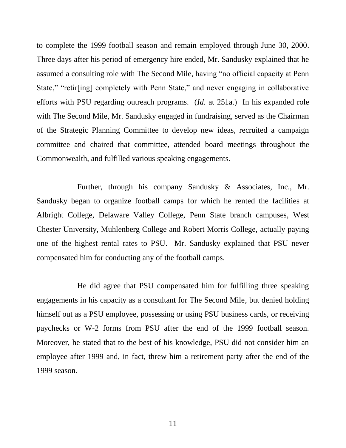to complete the 1999 football season and remain employed through June 30, 2000. Three days after his period of emergency hire ended, Mr. Sandusky explained that he assumed a consulting role with The Second Mile, having "no official capacity at Penn State," "retir[ing] completely with Penn State," and never engaging in collaborative efforts with PSU regarding outreach programs. (*Id.* at 251a.) In his expanded role with The Second Mile, Mr. Sandusky engaged in fundraising, served as the Chairman of the Strategic Planning Committee to develop new ideas, recruited a campaign committee and chaired that committee, attended board meetings throughout the Commonwealth, and fulfilled various speaking engagements.

Further, through his company Sandusky & Associates, Inc., Mr. Sandusky began to organize football camps for which he rented the facilities at Albright College, Delaware Valley College, Penn State branch campuses, West Chester University, Muhlenberg College and Robert Morris College, actually paying one of the highest rental rates to PSU. Mr. Sandusky explained that PSU never compensated him for conducting any of the football camps.

He did agree that PSU compensated him for fulfilling three speaking engagements in his capacity as a consultant for The Second Mile, but denied holding himself out as a PSU employee, possessing or using PSU business cards, or receiving paychecks or W-2 forms from PSU after the end of the 1999 football season. Moreover, he stated that to the best of his knowledge, PSU did not consider him an employee after 1999 and, in fact, threw him a retirement party after the end of the 1999 season.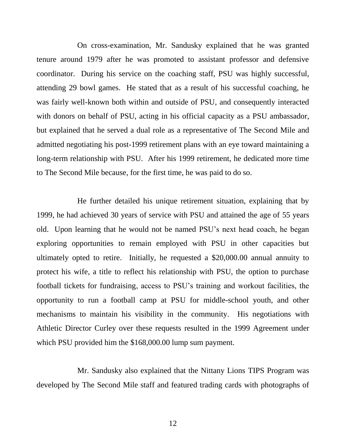On cross-examination, Mr. Sandusky explained that he was granted tenure around 1979 after he was promoted to assistant professor and defensive coordinator. During his service on the coaching staff, PSU was highly successful, attending 29 bowl games. He stated that as a result of his successful coaching, he was fairly well-known both within and outside of PSU, and consequently interacted with donors on behalf of PSU, acting in his official capacity as a PSU ambassador, but explained that he served a dual role as a representative of The Second Mile and admitted negotiating his post-1999 retirement plans with an eye toward maintaining a long-term relationship with PSU. After his 1999 retirement, he dedicated more time to The Second Mile because, for the first time, he was paid to do so.

He further detailed his unique retirement situation, explaining that by 1999, he had achieved 30 years of service with PSU and attained the age of 55 years old. Upon learning that he would not be named PSU's next head coach, he began exploring opportunities to remain employed with PSU in other capacities but ultimately opted to retire. Initially, he requested a \$20,000.00 annual annuity to protect his wife, a title to reflect his relationship with PSU, the option to purchase football tickets for fundraising, access to PSU's training and workout facilities, the opportunity to run a football camp at PSU for middle-school youth, and other mechanisms to maintain his visibility in the community. His negotiations with Athletic Director Curley over these requests resulted in the 1999 Agreement under which PSU provided him the \$168,000.00 lump sum payment.

Mr. Sandusky also explained that the Nittany Lions TIPS Program was developed by The Second Mile staff and featured trading cards with photographs of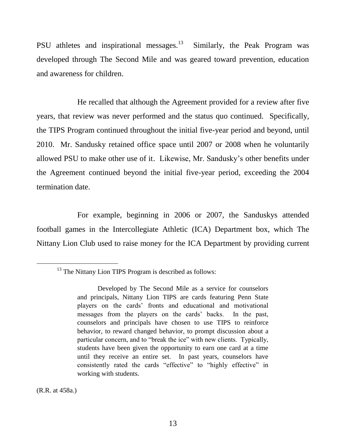PSU athletes and inspirational messages.<sup>13</sup> Similarly, the Peak Program was developed through The Second Mile and was geared toward prevention, education and awareness for children.

He recalled that although the Agreement provided for a review after five years, that review was never performed and the status quo continued. Specifically, the TIPS Program continued throughout the initial five-year period and beyond, until 2010. Mr. Sandusky retained office space until 2007 or 2008 when he voluntarily allowed PSU to make other use of it. Likewise, Mr. Sandusky's other benefits under the Agreement continued beyond the initial five-year period, exceeding the 2004 termination date.

For example, beginning in 2006 or 2007, the Sanduskys attended football games in the Intercollegiate Athletic (ICA) Department box, which The Nittany Lion Club used to raise money for the ICA Department by providing current

(R.R. at 458a.)

<sup>&</sup>lt;sup>13</sup> The Nittany Lion TIPS Program is described as follows:

Developed by The Second Mile as a service for counselors and principals, Nittany Lion TIPS are cards featuring Penn State players on the cards' fronts and educational and motivational messages from the players on the cards' backs. In the past, counselors and principals have chosen to use TIPS to reinforce behavior, to reward changed behavior, to prompt discussion about a particular concern, and to "break the ice" with new clients. Typically, students have been given the opportunity to earn one card at a time until they receive an entire set. In past years, counselors have consistently rated the cards "effective" to "highly effective" in working with students.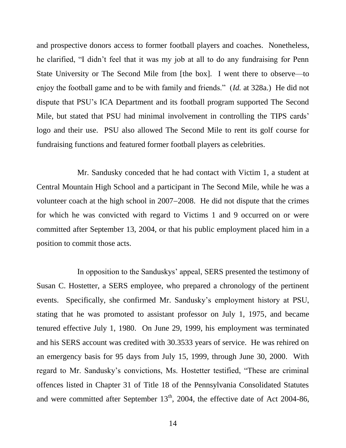and prospective donors access to former football players and coaches. Nonetheless, he clarified, "I didn't feel that it was my job at all to do any fundraising for Penn State University or The Second Mile from [the box]. I went there to observe—to enjoy the football game and to be with family and friends." (*Id.* at 328a.) He did not dispute that PSU's ICA Department and its football program supported The Second Mile, but stated that PSU had minimal involvement in controlling the TIPS cards' logo and their use. PSU also allowed The Second Mile to rent its golf course for fundraising functions and featured former football players as celebrities.

Mr. Sandusky conceded that he had contact with Victim 1, a student at Central Mountain High School and a participant in The Second Mile, while he was a volunteer coach at the high school in  $2007-2008$ . He did not dispute that the crimes for which he was convicted with regard to Victims 1 and 9 occurred on or were committed after September 13, 2004, or that his public employment placed him in a position to commit those acts.

In opposition to the Sanduskys' appeal, SERS presented the testimony of Susan C. Hostetter, a SERS employee, who prepared a chronology of the pertinent events. Specifically, she confirmed Mr. Sandusky's employment history at PSU, stating that he was promoted to assistant professor on July 1, 1975, and became tenured effective July 1, 1980. On June 29, 1999, his employment was terminated and his SERS account was credited with 30.3533 years of service. He was rehired on an emergency basis for 95 days from July 15, 1999, through June 30, 2000. With regard to Mr. Sandusky's convictions, Ms. Hostetter testified, "These are criminal offences listed in Chapter 31 of Title 18 of the Pennsylvania Consolidated Statutes and were committed after September  $13<sup>th</sup>$ , 2004, the effective date of Act 2004-86,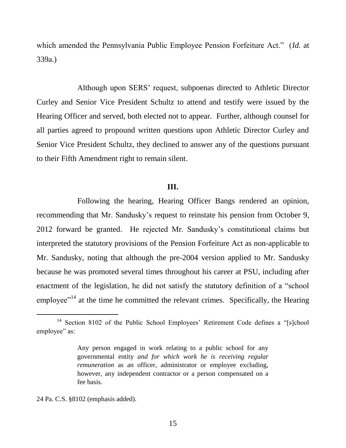which amended the Pennsylvania Public Employee Pension Forfeiture Act." (*Id.* at 339a.)

Although upon SERS' request, subpoenas directed to Athletic Director Curley and Senior Vice President Schultz to attend and testify were issued by the Hearing Officer and served, both elected not to appear. Further, although counsel for all parties agreed to propound written questions upon Athletic Director Curley and Senior Vice President Schultz, they declined to answer any of the questions pursuant to their Fifth Amendment right to remain silent.

## **III.**

Following the hearing, Hearing Officer Bangs rendered an opinion, recommending that Mr. Sandusky's request to reinstate his pension from October 9, 2012 forward be granted. He rejected Mr. Sandusky's constitutional claims but interpreted the statutory provisions of the Pension Forfeiture Act as non-applicable to Mr. Sandusky, noting that although the pre-2004 version applied to Mr. Sandusky because he was promoted several times throughout his career at PSU, including after enactment of the legislation, he did not satisfy the statutory definition of a "school employee"<sup>14</sup> at the time he committed the relevant crimes. Specifically, the Hearing

24 Pa. C.S. §8102 (emphasis added).

<sup>&</sup>lt;sup>14</sup> Section 8102 of the Public School Employees' Retirement Code defines a "[s]chool employee" as:

Any person engaged in work relating to a public school for any governmental entity *and for which work he is receiving regular remuneration* as an officer, administrator or employee excluding, however, any independent contractor or a person compensated on a fee basis.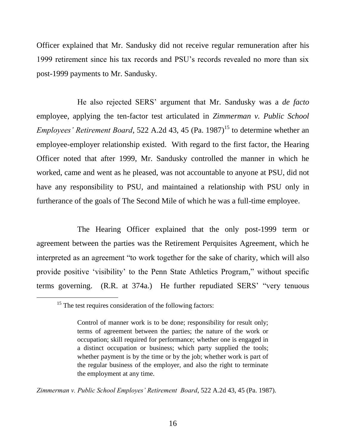Officer explained that Mr. Sandusky did not receive regular remuneration after his 1999 retirement since his tax records and PSU's records revealed no more than six post-1999 payments to Mr. Sandusky.

He also rejected SERS' argument that Mr. Sandusky was a *de facto* employee, applying the ten-factor test articulated in *Zimmerman v. Public School Employees' Retirement Board*, 522 A.2d 43, 45 (Pa. 1987)<sup>15</sup> to determine whether an employee-employer relationship existed. With regard to the first factor, the Hearing Officer noted that after 1999, Mr. Sandusky controlled the manner in which he worked, came and went as he pleased, was not accountable to anyone at PSU, did not have any responsibility to PSU, and maintained a relationship with PSU only in furtherance of the goals of The Second Mile of which he was a full-time employee.

The Hearing Officer explained that the only post-1999 term or agreement between the parties was the Retirement Perquisites Agreement, which he interpreted as an agreement "to work together for the sake of charity, which will also provide positive 'visibility' to the Penn State Athletics Program," without specific terms governing. (R.R. at 374a.) He further repudiated SERS' "very tenuous

l

*Zimmerman v. Public School Employes' Retirement Board*, 522 A.2d 43, 45 (Pa. 1987).

<sup>&</sup>lt;sup>15</sup> The test requires consideration of the following factors:

Control of manner work is to be done; responsibility for result only; terms of agreement between the parties; the nature of the work or occupation; skill required for performance; whether one is engaged in a distinct occupation or business; which party supplied the tools; whether payment is by the time or by the job; whether work is part of the regular business of the employer, and also the right to terminate the employment at any time.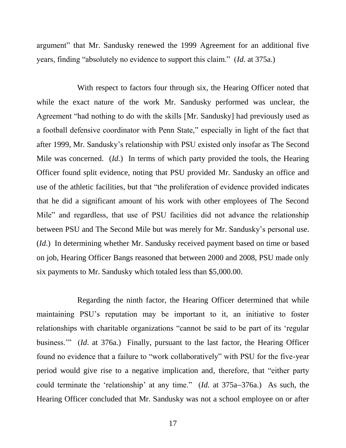argument" that Mr. Sandusky renewed the 1999 Agreement for an additional five years, finding "absolutely no evidence to support this claim." (*Id.* at 375a.)

With respect to factors four through six, the Hearing Officer noted that while the exact nature of the work Mr. Sandusky performed was unclear, the Agreement "had nothing to do with the skills [Mr. Sandusky] had previously used as a football defensive coordinator with Penn State," especially in light of the fact that after 1999, Mr. Sandusky's relationship with PSU existed only insofar as The Second Mile was concerned. (*Id.*) In terms of which party provided the tools, the Hearing Officer found split evidence, noting that PSU provided Mr. Sandusky an office and use of the athletic facilities, but that "the proliferation of evidence provided indicates that he did a significant amount of his work with other employees of The Second Mile" and regardless, that use of PSU facilities did not advance the relationship between PSU and The Second Mile but was merely for Mr. Sandusky's personal use. (*Id*.) In determining whether Mr. Sandusky received payment based on time or based on job, Hearing Officer Bangs reasoned that between 2000 and 2008, PSU made only six payments to Mr. Sandusky which totaled less than \$5,000.00.

Regarding the ninth factor, the Hearing Officer determined that while maintaining PSU's reputation may be important to it, an initiative to foster relationships with charitable organizations "cannot be said to be part of its 'regular business.'" (*Id*. at 376a*.*) Finally, pursuant to the last factor, the Hearing Officer found no evidence that a failure to "work collaboratively" with PSU for the five-year period would give rise to a negative implication and, therefore, that "either party could terminate the 'relationship' at any time." (*Id.* at 375a–376a.) As such, the Hearing Officer concluded that Mr. Sandusky was not a school employee on or after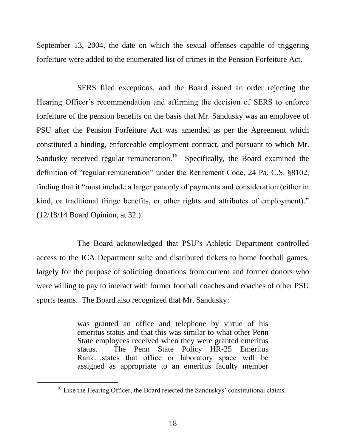September 13, 2004, the date on which the sexual offenses capable of triggering forfeiture were added to the enumerated list of crimes in the Pension Forfeiture Act.

SERS filed exceptions, and the Board issued an order rejecting the Hearing Officer's recommendation and affirming the decision of SERS to enforce forfeiture of the pension benefits on the basis that Mr. Sandusky was an employee of PSU after the Pension Forfeiture Act was amended as per the Agreement which constituted a binding, enforceable employment contract, and pursuant to which Mr. Sandusky received regular remuneration.<sup>16</sup> Specifically, the Board examined the definition of "regular remuneration" under the Retirement Code, 24 Pa. C.S. §8102, finding that it "must include a larger panoply of payments and consideration (either in kind, or traditional fringe benefits, or other rights and attributes of employment)." (12/18/14 Board Opinion, at 32.)

The Board acknowledged that PSU's Athletic Department controlled access to the ICA Department suite and distributed tickets to home football games, largely for the purpose of soliciting donations from current and former donors who were willing to pay to interact with former football coaches and coaches of other PSU sports teams. The Board also recognized that Mr. Sandusky:

> was granted an office and telephone by virtue of his emeritus status and that this was similar to what other Penn State employees received when they were granted emeritus status. The Penn State Policy HR-25 Emeritus Rank…states that office or laboratory space will be assigned as appropriate to an emeritus faculty member

<sup>&</sup>lt;sup>16</sup> Like the Hearing Officer, the Board rejected the Sanduskys' constitutional claims.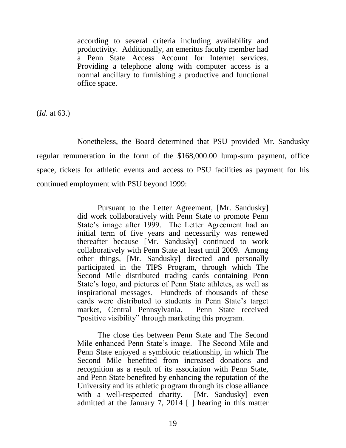according to several criteria including availability and productivity. Additionally, an emeritus faculty member had a Penn State Access Account for Internet services. Providing a telephone along with computer access is a normal ancillary to furnishing a productive and functional office space.

(*Id.* at 63.)

Nonetheless, the Board determined that PSU provided Mr. Sandusky regular remuneration in the form of the \$168,000.00 lump-sum payment, office space, tickets for athletic events and access to PSU facilities as payment for his continued employment with PSU beyond 1999:

> Pursuant to the Letter Agreement, [Mr. Sandusky] did work collaboratively with Penn State to promote Penn State's image after 1999. The Letter Agreement had an initial term of five years and necessarily was renewed thereafter because [Mr. Sandusky] continued to work collaboratively with Penn State at least until 2009. Among other things, [Mr. Sandusky] directed and personally participated in the TIPS Program, through which The Second Mile distributed trading cards containing Penn State's logo, and pictures of Penn State athletes, as well as inspirational messages. Hundreds of thousands of these cards were distributed to students in Penn State's target market, Central Pennsylvania. Penn State received "positive visibility" through marketing this program.

> The close ties between Penn State and The Second Mile enhanced Penn State's image. The Second Mile and Penn State enjoyed a symbiotic relationship, in which The Second Mile benefited from increased donations and recognition as a result of its association with Penn State, and Penn State benefited by enhancing the reputation of the University and its athletic program through its close alliance with a well-respected charity. [Mr. Sandusky] even admitted at the January 7, 2014 [ ] hearing in this matter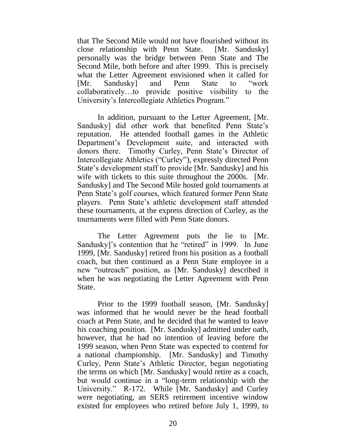that The Second Mile would not have flourished without its close relationship with Penn State. [Mr. Sandusky] personally was the bridge between Penn State and The Second Mile, both before and after 1999. This is precisely what the Letter Agreement envisioned when it called for [Mr. Sandusky] and Penn State to "work collaboratively…to provide positive visibility to the University's Intercollegiate Athletics Program."

In addition, pursuant to the Letter Agreement, [Mr. Sandusky] did other work that benefited Penn State's reputation. He attended football games in the Athletic Department's Development suite, and interacted with donors there. Timothy Curley, Penn State's Director of Intercollegiate Athletics ("Curley"), expressly directed Penn State's development staff to provide [Mr. Sandusky] and his wife with tickets to this suite throughout the 2000s. [Mr. Sandusky] and The Second Mile hosted gold tournaments at Penn State's golf courses, which featured former Penn State players. Penn State's athletic development staff attended these tournaments, at the express direction of Curley, as the tournaments were filled with Penn State donors.

The Letter Agreement puts the lie to [Mr. Sandusky]'s contention that he "retired" in 1999. In June 1999, [Mr. Sandusky] retired from his position as a football coach, but then continued as a Penn State employee in a new "outreach" position, as [Mr. Sandusky] described it when he was negotiating the Letter Agreement with Penn State.

Prior to the 1999 football season, [Mr. Sandusky] was informed that he would never be the head football coach at Penn State, and he decided that he wanted to leave his coaching position. [Mr. Sandusky] admitted under oath, however, that he had no intention of leaving before the 1999 season, when Penn State was expected to contend for a national championship. [Mr. Sandusky] and Timothy Curley, Penn State's Athletic Director, began negotiating the terms on which [Mr. Sandusky] would retire as a coach, but would continue in a "long-term relationship with the University." R-172. While [Mr. Sandusky] and Curley were negotiating, an SERS retirement incentive window existed for employees who retired before July 1, 1999, to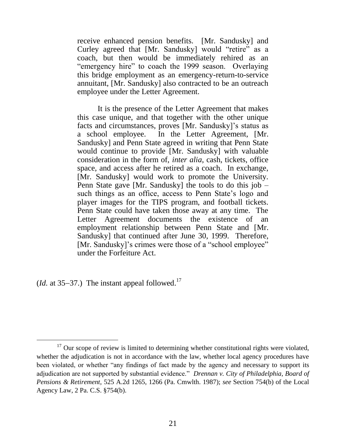receive enhanced pension benefits. [Mr. Sandusky] and Curley agreed that [Mr. Sandusky] would "retire" as a coach, but then would be immediately rehired as an "emergency hire" to coach the 1999 season. Overlaying this bridge employment as an emergency-return-to-service annuitant, [Mr. Sandusky] also contracted to be an outreach employee under the Letter Agreement.

It is the presence of the Letter Agreement that makes this case unique, and that together with the other unique facts and circumstances, proves [Mr. Sandusky]'s status as a school employee. In the Letter Agreement, [Mr. Sandusky] and Penn State agreed in writing that Penn State would continue to provide [Mr. Sandusky] with valuable consideration in the form of, *inter alia*, cash, tickets, office space, and access after he retired as a coach. In exchange, [Mr. Sandusky] would work to promote the University. Penn State gave [Mr. Sandusky] the tools to do this job – such things as an office, access to Penn State's logo and player images for the TIPS program, and football tickets. Penn State could have taken those away at any time. The Letter Agreement documents the existence of an employment relationship between Penn State and [Mr. Sandusky] that continued after June 30, 1999. Therefore, [Mr. Sandusky]'s crimes were those of a "school employee" under the Forfeiture Act.

 $(Id.$  at 35–37.) The instant appeal followed.<sup>17</sup>

 $17$  Our scope of review is limited to determining whether constitutional rights were violated, whether the adjudication is not in accordance with the law, whether local agency procedures have been violated, or whether "any findings of fact made by the agency and necessary to support its adjudication are not supported by substantial evidence." *Drennan v. City of Philadelphia, Board of Pensions & Retirement*, 525 A.2d 1265, 1266 (Pa. Cmwlth. 1987); *see* Section 754(b) of the Local Agency Law, 2 Pa. C.S. §754(b).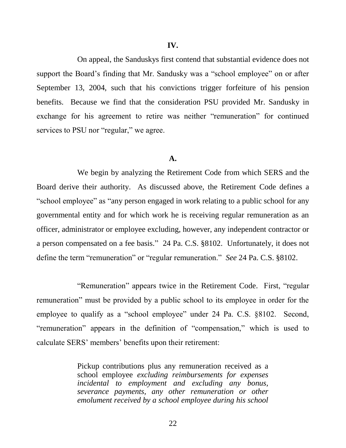On appeal, the Sanduskys first contend that substantial evidence does not support the Board's finding that Mr. Sandusky was a "school employee" on or after September 13, 2004, such that his convictions trigger forfeiture of his pension benefits. Because we find that the consideration PSU provided Mr. Sandusky in exchange for his agreement to retire was neither "remuneration" for continued services to PSU nor "regular," we agree.

### **A.**

We begin by analyzing the Retirement Code from which SERS and the Board derive their authority. As discussed above, the Retirement Code defines a "school employee" as "any person engaged in work relating to a public school for any governmental entity and for which work he is receiving regular remuneration as an officer, administrator or employee excluding, however, any independent contractor or a person compensated on a fee basis."24 Pa. C.S. §8102. Unfortunately, it does not define the term "remuneration" or "regular remuneration." *See* 24 Pa. C.S. §8102.

"Remuneration" appears twice in the Retirement Code. First, "regular remuneration" must be provided by a public school to its employee in order for the employee to qualify as a "school employee" under 24 Pa. C.S. §8102. Second, "remuneration" appears in the definition of "compensation," which is used to calculate SERS' members' benefits upon their retirement:

> Pickup contributions plus any remuneration received as a school employee *excluding reimbursements for expenses incidental to employment and excluding any bonus, severance payments, any other remuneration or other emolument received by a school employee during his school*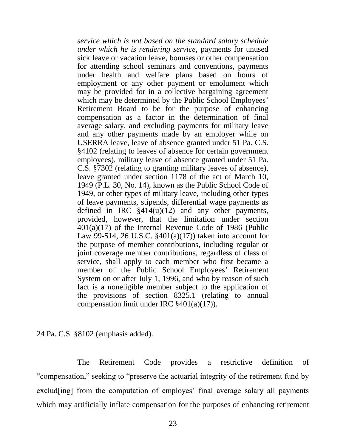*service which is not based on the standard salary schedule under which he is rendering service,* payments for unused sick leave or vacation leave, bonuses or other compensation for attending school seminars and conventions, payments under health and welfare plans based on hours of employment or any other payment or emolument which may be provided for in a collective bargaining agreement which may be determined by the Public School Employees' Retirement Board to be for the purpose of enhancing compensation as a factor in the determination of final average salary, and excluding payments for military leave and any other payments made by an employer while on USERRA leave, leave of absence granted under 51 Pa. C.S. §4102 (relating to leaves of absence for certain government employees), military leave of absence granted under 51 Pa. C.S. §7302 (relating to granting military leaves of absence), leave granted under section 1178 of the act of March 10, 1949 (P.L. 30, No. 14), known as the Public School Code of 1949, or other types of military leave, including other types of leave payments, stipends, differential wage payments as defined in IRC  $§414(u)(12)$  and any other payments, provided, however, that the limitation under section 401(a)(17) of the Internal Revenue Code of 1986 (Public Law 99-514, 26 U.S.C.  $$401(a)(17)$  taken into account for the purpose of member contributions, including regular or joint coverage member contributions, regardless of class of service, shall apply to each member who first became a member of the Public School Employees' Retirement System on or after July 1, 1996, and who by reason of such fact is a noneligible member subject to the application of the provisions of section 8325.1 (relating to annual compensation limit under IRC §401(a)(17)).

24 Pa. C.S. §8102 (emphasis added).

The Retirement Code provides a restrictive definition of "compensation," seeking to "preserve the actuarial integrity of the retirement fund by exclud[ing] from the computation of employes' final average salary all payments which may artificially inflate compensation for the purposes of enhancing retirement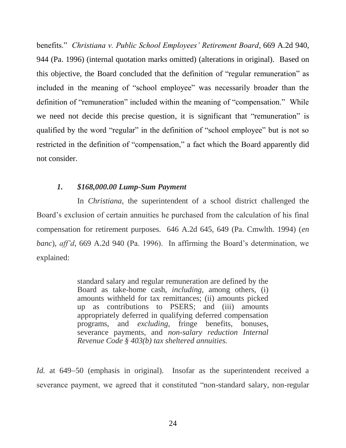benefits." *Christiana v. Public School Employees' Retirement Board*, 669 A.2d 940, 944 (Pa. 1996) (internal quotation marks omitted) (alterations in original). Based on this objective, the Board concluded that the definition of "regular remuneration" as included in the meaning of "school employee" was necessarily broader than the definition of "remuneration" included within the meaning of "compensation." While we need not decide this precise question, it is significant that "remuneration" is qualified by the word "regular" in the definition of "school employee" but is not so restricted in the definition of "compensation," a fact which the Board apparently did not consider.

## *1. \$168,000.00 Lump-Sum Payment*

In *Christiana*, the superintendent of a school district challenged the Board's exclusion of certain annuities he purchased from the calculation of his final compensation for retirement purposes. 646 A.2d 645, 649 (Pa. Cmwlth. 1994) (*en banc*), *aff'd*, 669 A.2d 940 (Pa. 1996). In affirming the Board's determination, we explained:

> standard salary and regular remuneration are defined by the Board as take-home cash, *including,* among others, (i) amounts withheld for tax remittances; (ii) amounts picked up as contributions to PSERS; and (iii) amounts appropriately deferred in qualifying deferred compensation programs, and *excluding,* fringe benefits, bonuses, severance payments, and *non-salary reduction Internal Revenue Code § 403(b) tax sheltered annuities.*

*Id.* at 649–50 (emphasis in original). Insofar as the superintendent received a severance payment, we agreed that it constituted "non-standard salary, non-regular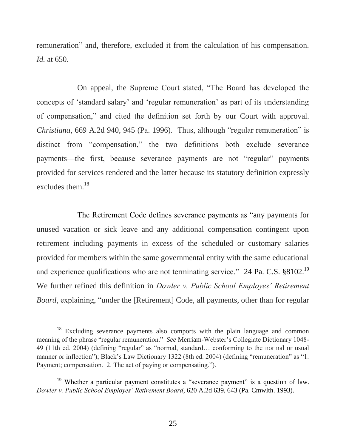remuneration" and, therefore, excluded it from the calculation of his compensation. *Id.* at 650.

On appeal, the Supreme Court stated, "The Board has developed the concepts of 'standard salary' and 'regular remuneration' as part of its understanding of compensation," and cited the definition set forth by our Court with approval. *Christiana*, 669 A.2d 940, 945 (Pa. 1996). Thus, although "regular remuneration" is distinct from "compensation," the two definitions both exclude severance payments—the first, because severance payments are not "regular" payments provided for services rendered and the latter because its statutory definition expressly excludes them. 18

The Retirement Code defines severance payments as "any payments for unused vacation or sick leave and any additional compensation contingent upon retirement including payments in excess of the scheduled or customary salaries provided for members within the same governmental entity with the same educational and experience qualifications who are not terminating service." 24 Pa. C.S. §8102.<sup>19</sup> We further refined this definition in *Dowler v. Public School Employes' Retirement Board*, explaining, "under the [Retirement] Code, all payments, other than for regular

<sup>&</sup>lt;sup>18</sup> Excluding severance payments also comports with the plain language and common meaning of the phrase "regular remuneration." *See* Merriam-Webster's Collegiate Dictionary 1048- 49 (11th ed. 2004) (defining "regular" as "normal, standard… conforming to the normal or usual manner or inflection"); Black's Law Dictionary 1322 (8th ed. 2004) (defining "remuneration" as "1. Payment; compensation. 2. The act of paying or compensating.").

<sup>&</sup>lt;sup>19</sup> Whether a particular payment constitutes a "severance payment" is a question of law. *Dowler v. Public School Employes' Retirement Board*, 620 A.2d 639, 643 (Pa. Cmwlth. 1993).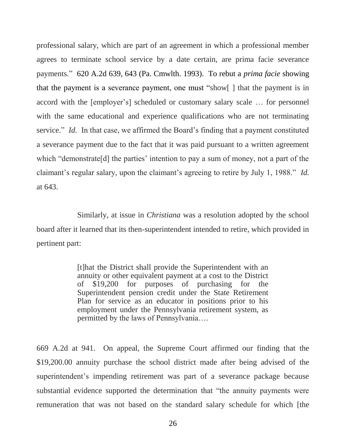professional salary, which are part of an agreement in which a professional member agrees to terminate school service by a date certain, are prima facie severance payments." 620 A.2d 639, 643 (Pa. Cmwlth. 1993). To rebut a *prima facie* showing that the payment is a severance payment, one must "show[ ] that the payment is in accord with the [employer's] scheduled or customary salary scale … for personnel with the same educational and experience qualifications who are not terminating service." *Id.* In that case, we affirmed the Board's finding that a payment constituted a severance payment due to the fact that it was paid pursuant to a written agreement which "demonstrate[d] the parties' intention to pay a sum of money, not a part of the claimant's regular salary, upon the claimant's agreeing to retire by July 1, 1988." *Id.* at 643.

Similarly, at issue in *Christiana* was a resolution adopted by the school board after it learned that its then-superintendent intended to retire, which provided in pertinent part:

> [t]hat the District shall provide the Superintendent with an annuity or other equivalent payment at a cost to the District of \$19,200 for purposes of purchasing for the Superintendent pension credit under the State Retirement Plan for service as an educator in positions prior to his employment under the Pennsylvania retirement system, as permitted by the laws of Pennsylvania….

669 A.2d at 941. On appeal, the Supreme Court affirmed our finding that the \$19,200.00 annuity purchase the school district made after being advised of the superintendent's impending retirement was part of a severance package because substantial evidence supported the determination that "the annuity payments were remuneration that was not based on the standard salary schedule for which [the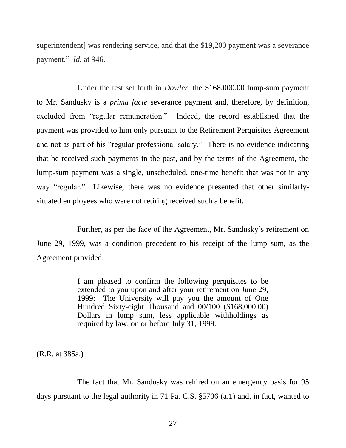superintendent] was rendering service, and that the \$19,200 payment was a severance payment." *Id.* at 946.

Under the test set forth in *Dowler*, the \$168,000.00 lump-sum payment to Mr. Sandusky is a *prima facie* severance payment and, therefore, by definition, excluded from "regular remuneration." Indeed, the record established that the payment was provided to him only pursuant to the Retirement Perquisites Agreement and not as part of his "regular professional salary." There is no evidence indicating that he received such payments in the past, and by the terms of the Agreement, the lump-sum payment was a single, unscheduled, one-time benefit that was not in any way "regular." Likewise, there was no evidence presented that other similarlysituated employees who were not retiring received such a benefit.

Further, as per the face of the Agreement, Mr. Sandusky's retirement on June 29, 1999, was a condition precedent to his receipt of the lump sum, as the Agreement provided:

> I am pleased to confirm the following perquisites to be extended to you upon and after your retirement on June 29, 1999: The University will pay you the amount of One Hundred Sixty-eight Thousand and 00/100 (\$168,000.00) Dollars in lump sum, less applicable withholdings as required by law, on or before July 31, 1999.

(R.R. at 385a.)

The fact that Mr. Sandusky was rehired on an emergency basis for 95 days pursuant to the legal authority in 71 Pa. C.S. §5706 (a.1) and, in fact, wanted to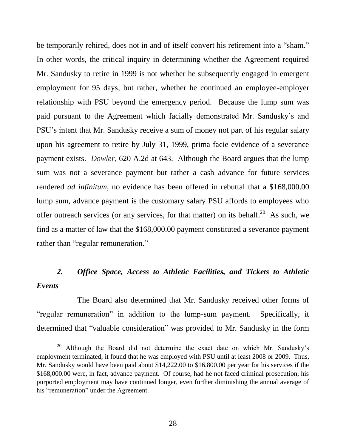be temporarily rehired, does not in and of itself convert his retirement into a "sham." In other words, the critical inquiry in determining whether the Agreement required Mr. Sandusky to retire in 1999 is not whether he subsequently engaged in emergent employment for 95 days, but rather, whether he continued an employee-employer relationship with PSU beyond the emergency period. Because the lump sum was paid pursuant to the Agreement which facially demonstrated Mr. Sandusky's and PSU's intent that Mr. Sandusky receive a sum of money not part of his regular salary upon his agreement to retire by July 31, 1999, prima facie evidence of a severance payment exists. *Dowler*, 620 A.2d at 643. Although the Board argues that the lump sum was not a severance payment but rather a cash advance for future services rendered *ad infinitum*, no evidence has been offered in rebuttal that a \$168,000.00 lump sum, advance payment is the customary salary PSU affords to employees who offer outreach services (or any services, for that matter) on its behalf.<sup>20</sup> As such, we find as a matter of law that the \$168,000.00 payment constituted a severance payment rather than "regular remuneration."

# *2. Office Space, Access to Athletic Facilities, and Tickets to Athletic Events*

The Board also determined that Mr. Sandusky received other forms of "regular remuneration" in addition to the lump-sum payment. Specifically, it determined that "valuable consideration" was provided to Mr. Sandusky in the form

<sup>&</sup>lt;sup>20</sup> Although the Board did not determine the exact date on which Mr. Sandusky's employment terminated, it found that he was employed with PSU until at least 2008 or 2009. Thus, Mr. Sandusky would have been paid about \$14,222.00 to \$16,800.00 per year for his services if the \$168,000.00 were, in fact, advance payment. Of course, had he not faced criminal prosecution, his purported employment may have continued longer, even further diminishing the annual average of his "remuneration" under the Agreement.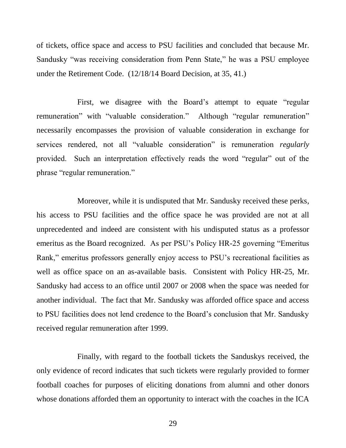of tickets, office space and access to PSU facilities and concluded that because Mr. Sandusky "was receiving consideration from Penn State," he was a PSU employee under the Retirement Code. (12/18/14 Board Decision, at 35, 41.)

First, we disagree with the Board's attempt to equate "regular remuneration" with "valuable consideration." Although "regular remuneration" necessarily encompasses the provision of valuable consideration in exchange for services rendered, not all "valuable consideration" is remuneration *regularly* provided. Such an interpretation effectively reads the word "regular" out of the phrase "regular remuneration."

Moreover, while it is undisputed that Mr. Sandusky received these perks, his access to PSU facilities and the office space he was provided are not at all unprecedented and indeed are consistent with his undisputed status as a professor emeritus as the Board recognized. As per PSU's Policy HR-25 governing "Emeritus Rank," emeritus professors generally enjoy access to PSU's recreational facilities as well as office space on an as-available basis. Consistent with Policy HR-25, Mr. Sandusky had access to an office until 2007 or 2008 when the space was needed for another individual. The fact that Mr. Sandusky was afforded office space and access to PSU facilities does not lend credence to the Board's conclusion that Mr. Sandusky received regular remuneration after 1999.

Finally, with regard to the football tickets the Sanduskys received, the only evidence of record indicates that such tickets were regularly provided to former football coaches for purposes of eliciting donations from alumni and other donors whose donations afforded them an opportunity to interact with the coaches in the ICA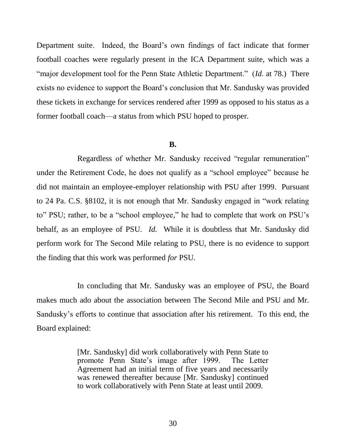Department suite. Indeed, the Board's own findings of fact indicate that former football coaches were regularly present in the ICA Department suite, which was a "major development tool for the Penn State Athletic Department." (*Id.* at 78.) There exists no evidence to support the Board's conclusion that Mr. Sandusky was provided these tickets in exchange for services rendered after 1999 as opposed to his status as a former football coach—a status from which PSU hoped to prosper.

### **B.**

Regardless of whether Mr. Sandusky received "regular remuneration" under the Retirement Code, he does not qualify as a "school employee" because he did not maintain an employee-employer relationship with PSU after 1999. Pursuant to 24 Pa. C.S. §8102, it is not enough that Mr. Sandusky engaged in "work relating to" PSU; rather, to be a "school employee," he had to complete that work on PSU's behalf, as an employee of PSU. *Id.* While it is doubtless that Mr. Sandusky did perform work for The Second Mile relating to PSU, there is no evidence to support the finding that this work was performed *for* PSU.

In concluding that Mr. Sandusky was an employee of PSU, the Board makes much ado about the association between The Second Mile and PSU and Mr. Sandusky's efforts to continue that association after his retirement. To this end, the Board explained:

> [Mr. Sandusky] did work collaboratively with Penn State to promote Penn State's image after 1999. The Letter Agreement had an initial term of five years and necessarily was renewed thereafter because [Mr. Sandusky] continued to work collaboratively with Penn State at least until 2009.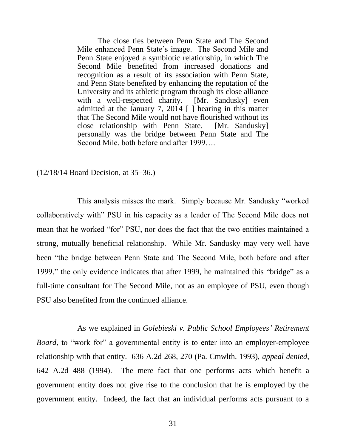The close ties between Penn State and The Second Mile enhanced Penn State's image. The Second Mile and Penn State enjoyed a symbiotic relationship, in which The Second Mile benefited from increased donations and recognition as a result of its association with Penn State, and Penn State benefited by enhancing the reputation of the University and its athletic program through its close alliance with a well-respected charity. [Mr. Sandusky] even admitted at the January 7, 2014  $\lceil \cdot \rceil$  hearing in this matter that The Second Mile would not have flourished without its close relationship with Penn State. [Mr. Sandusky] close relationship with Penn State. personally was the bridge between Penn State and The Second Mile, both before and after 1999….

 $(12/18/14$  Board Decision, at 35–36.)

This analysis misses the mark. Simply because Mr. Sandusky "worked collaboratively with" PSU in his capacity as a leader of The Second Mile does not mean that he worked "for" PSU, nor does the fact that the two entities maintained a strong, mutually beneficial relationship. While Mr. Sandusky may very well have been "the bridge between Penn State and The Second Mile, both before and after 1999," the only evidence indicates that after 1999, he maintained this "bridge" as a full-time consultant for The Second Mile, not as an employee of PSU, even though PSU also benefited from the continued alliance.

As we explained in *Golebieski v. Public School Employees' Retirement Board*, to "work for" a governmental entity is to enter into an employer-employee relationship with that entity. 636 A.2d 268, 270 (Pa. Cmwlth. 1993), *appeal denied*, 642 A.2d 488 (1994). The mere fact that one performs acts which benefit a government entity does not give rise to the conclusion that he is employed by the government entity. Indeed, the fact that an individual performs acts pursuant to a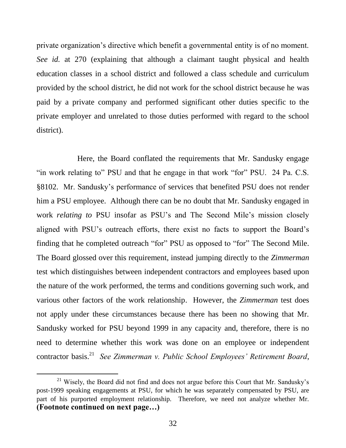private organization's directive which benefit a governmental entity is of no moment. *See id.* at 270 (explaining that although a claimant taught physical and health education classes in a school district and followed a class schedule and curriculum provided by the school district, he did not work for the school district because he was paid by a private company and performed significant other duties specific to the private employer and unrelated to those duties performed with regard to the school district).

Here, the Board conflated the requirements that Mr. Sandusky engage "in work relating to" PSU and that he engage in that work "for" PSU. 24 Pa. C.S. §8102. Mr. Sandusky's performance of services that benefited PSU does not render him a PSU employee. Although there can be no doubt that Mr. Sandusky engaged in work *relating to* PSU insofar as PSU's and The Second Mile's mission closely aligned with PSU's outreach efforts, there exist no facts to support the Board's finding that he completed outreach "for" PSU as opposed to "for" The Second Mile. The Board glossed over this requirement, instead jumping directly to the *Zimmerman* test which distinguishes between independent contractors and employees based upon the nature of the work performed, the terms and conditions governing such work, and various other factors of the work relationship. However, the *Zimmerman* test does not apply under these circumstances because there has been no showing that Mr. Sandusky worked for PSU beyond 1999 in any capacity and, therefore, there is no need to determine whether this work was done on an employee or independent contractor basis.<sup>21</sup> See Zimmerman v. Public School Employees' Retirement Board,

<sup>&</sup>lt;sup>21</sup> Wisely, the Board did not find and does not argue before this Court that Mr. Sandusky's post-1999 speaking engagements at PSU, for which he was separately compensated by PSU, are part of his purported employment relationship. Therefore, we need not analyze whether Mr. **(Footnote continued on next page…)**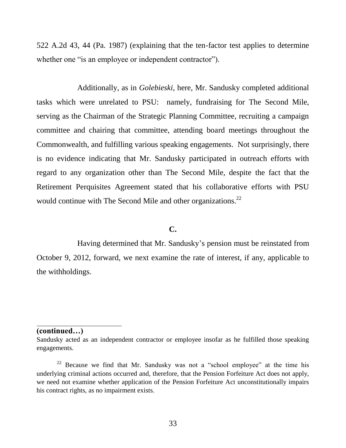522 A.2d 43, 44 (Pa. 1987) (explaining that the ten-factor test applies to determine whether one "is an employee or independent contractor").

Additionally, as in *Golebieski*, here, Mr. Sandusky completed additional tasks which were unrelated to PSU: namely, fundraising for The Second Mile, serving as the Chairman of the Strategic Planning Committee, recruiting a campaign committee and chairing that committee, attending board meetings throughout the Commonwealth, and fulfilling various speaking engagements. Not surprisingly, there is no evidence indicating that Mr. Sandusky participated in outreach efforts with regard to any organization other than The Second Mile, despite the fact that the Retirement Perquisites Agreement stated that his collaborative efforts with PSU would continue with The Second Mile and other organizations.<sup>22</sup>

## **C.**

Having determined that Mr. Sandusky's pension must be reinstated from October 9, 2012, forward, we next examine the rate of interest, if any, applicable to the withholdings.

### **(continued…)**

 $\overline{a}$ 

Sandusky acted as an independent contractor or employee insofar as he fulfilled those speaking engagements.

 $22$  Because we find that Mr. Sandusky was not a "school employee" at the time his underlying criminal actions occurred and, therefore, that the Pension Forfeiture Act does not apply, we need not examine whether application of the Pension Forfeiture Act unconstitutionally impairs his contract rights, as no impairment exists.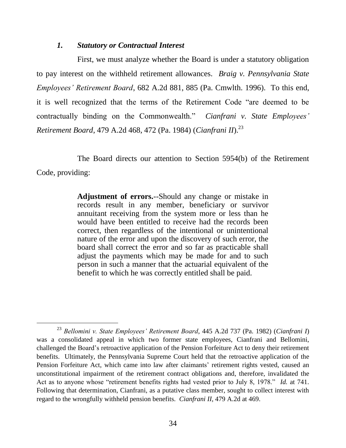## *1. Statutory or Contractual Interest*

l

First, we must analyze whether the Board is under a statutory obligation to pay interest on the withheld retirement allowances. *Braig v. Pennsylvania State Employees' Retirement Board*, 682 A.2d 881, 885 (Pa. Cmwlth. 1996). To this end, it is well recognized that the terms of the Retirement Code "are deemed to be contractually binding on the Commonwealth." *Cianfrani v. State Employees' Retirement Board*, 479 A.2d 468, 472 (Pa. 1984) (*Cianfrani II*). 23

The Board directs our attention to Section 5954(b) of the Retirement Code, providing:

> **Adjustment of errors.**--Should any change or mistake in records result in any member, beneficiary or survivor annuitant receiving from the system more or less than he would have been entitled to receive had the records been correct, then regardless of the intentional or unintentional nature of the error and upon the discovery of such error, the board shall correct the error and so far as practicable shall adjust the payments which may be made for and to such person in such a manner that the actuarial equivalent of the benefit to which he was correctly entitled shall be paid.

<sup>23</sup> *Bellomini v. State Employees' Retirement Board*, 445 A.2d 737 (Pa. 1982) (*Cianfrani I*) was a consolidated appeal in which two former state employees, Cianfrani and Bellomini, challenged the Board's retroactive application of the Pension Forfeiture Act to deny their retirement benefits. Ultimately, the Pennsylvania Supreme Court held that the retroactive application of the Pension Forfeiture Act, which came into law after claimants' retirement rights vested, caused an unconstitutional impairment of the retirement contract obligations and, therefore, invalidated the Act as to anyone whose "retirement benefits rights had vested prior to July 8, 1978." *Id.* at 741. Following that determination, Cianfrani, as a putative class member, sought to collect interest with regard to the wrongfully withheld pension benefits. *Cianfrani II*, 479 A.2d at 469.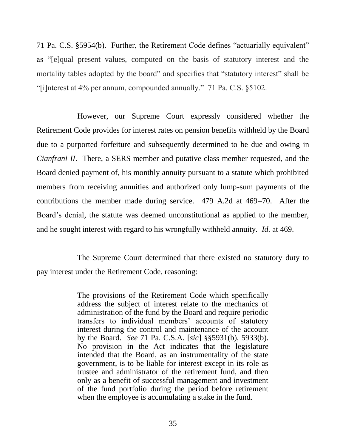71 Pa. C.S. §5954(b). Further, the Retirement Code defines "actuarially equivalent" as "[e]qual present values, computed on the basis of statutory interest and the mortality tables adopted by the board" and specifies that "statutory interest" shall be "[i]nterest at 4% per annum, compounded annually." 71 Pa. C.S. §5102.

However, our Supreme Court expressly considered whether the Retirement Code provides for interest rates on pension benefits withheld by the Board due to a purported forfeiture and subsequently determined to be due and owing in *Cianfrani II*. There, a SERS member and putative class member requested, and the Board denied payment of, his monthly annuity pursuant to a statute which prohibited members from receiving annuities and authorized only lump-sum payments of the contributions the member made during service.  $479$  A.2d at  $469-70$ . After the Board's denial, the statute was deemed unconstitutional as applied to the member, and he sought interest with regard to his wrongfully withheld annuity. *Id.* at 469.

The Supreme Court determined that there existed no statutory duty to pay interest under the Retirement Code, reasoning:

> The provisions of the Retirement Code which specifically address the subject of interest relate to the mechanics of administration of the fund by the Board and require periodic transfers to individual members' accounts of statutory interest during the control and maintenance of the account by the Board. *See* 71 Pa. C.S.A. [*sic*] §§5931(b), 5933(b). No provision in the Act indicates that the legislature intended that the Board, as an instrumentality of the state government, is to be liable for interest except in its role as trustee and administrator of the retirement fund, and then only as a benefit of successful management and investment of the fund portfolio during the period before retirement when the employee is accumulating a stake in the fund.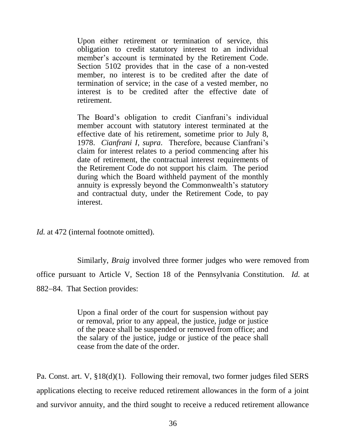Upon either retirement or termination of service, this obligation to credit statutory interest to an individual member's account is terminated by the Retirement Code. Section 5102 provides that in the case of a non-vested member, no interest is to be credited after the date of termination of service; in the case of a vested member, no interest is to be credited after the effective date of retirement.

The Board's obligation to credit Cianfrani's individual member account with statutory interest terminated at the effective date of his retirement, sometime prior to July 8, 1978. *Cianfrani I*, *supra*. Therefore, because Cianfrani's claim for interest relates to a period commencing after his date of retirement, the contractual interest requirements of the Retirement Code do not support his claim. The period during which the Board withheld payment of the monthly annuity is expressly beyond the Commonwealth's statutory and contractual duty, under the Retirement Code, to pay interest.

*Id.* at 472 (internal footnote omitted).

Similarly, *Braig* involved three former judges who were removed from office pursuant to Article V, Section 18 of the Pennsylvania Constitution. *Id.* at 882–84. That Section provides:

> Upon a final order of the court for suspension without pay or removal, prior to any appeal, the justice, judge or justice of the peace shall be suspended or removed from office; and the salary of the justice, judge or justice of the peace shall cease from the date of the order.

Pa. Const. art. V, §18(d)(1). Following their removal, two former judges filed SERS applications electing to receive reduced retirement allowances in the form of a joint and survivor annuity, and the third sought to receive a reduced retirement allowance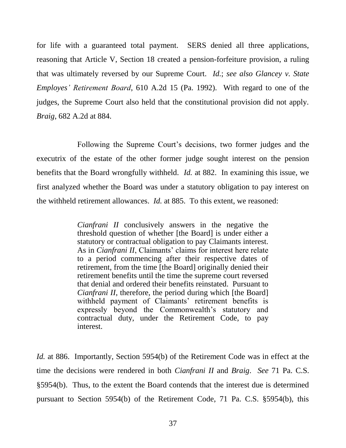for life with a guaranteed total payment. SERS denied all three applications, reasoning that Article V, Section 18 created a pension-forfeiture provision, a ruling that was ultimately reversed by our Supreme Court. *Id.*; *see also Glancey v. State Employes' Retirement Board*, 610 A.2d 15 (Pa. 1992). With regard to one of the judges, the Supreme Court also held that the constitutional provision did not apply. *Braig*, 682 A.2d at 884.

Following the Supreme Court's decisions, two former judges and the executrix of the estate of the other former judge sought interest on the pension benefits that the Board wrongfully withheld. *Id.* at 882. In examining this issue, we first analyzed whether the Board was under a statutory obligation to pay interest on the withheld retirement allowances. *Id.* at 885. To this extent, we reasoned:

> *Cianfrani II* conclusively answers in the negative the threshold question of whether [the Board] is under either a statutory or contractual obligation to pay Claimants interest. As in *Cianfrani II*, Claimants' claims for interest here relate to a period commencing after their respective dates of retirement, from the time [the Board] originally denied their retirement benefits until the time the supreme court reversed that denial and ordered their benefits reinstated. Pursuant to *Cianfrani II*, therefore, the period during which [the Board] withheld payment of Claimants' retirement benefits is expressly beyond the Commonwealth's statutory and contractual duty, under the Retirement Code, to pay interest.

*Id.* at 886. Importantly, Section 5954(b) of the Retirement Code was in effect at the time the decisions were rendered in both *Cianfrani II* and *Braig*. *See* 71 Pa. C.S. §5954(b). Thus, to the extent the Board contends that the interest due is determined pursuant to Section 5954(b) of the Retirement Code, 71 Pa. C.S. §5954(b), this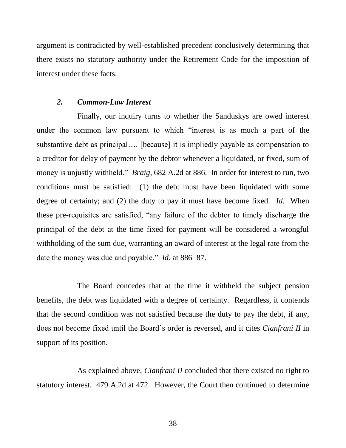argument is contradicted by well-established precedent conclusively determining that there exists no statutory authority under the Retirement Code for the imposition of interest under these facts.

## *2. Common-Law Interest*

Finally, our inquiry turns to whether the Sanduskys are owed interest under the common law pursuant to which "interest is as much a part of the substantive debt as principal…. [because] it is impliedly payable as compensation to a creditor for delay of payment by the debtor whenever a liquidated, or fixed, sum of money is unjustly withheld." *Braig*, 682 A.2d at 886. In order for interest to run, two conditions must be satisfied: (1) the debt must have been liquidated with some degree of certainty; and (2) the duty to pay it must have become fixed. *Id.* When these pre-requisites are satisfied, "any failure of the debtor to timely discharge the principal of the debt at the time fixed for payment will be considered a wrongful withholding of the sum due, warranting an award of interest at the legal rate from the date the money was due and payable." *Id.* at 886–87.

The Board concedes that at the time it withheld the subject pension benefits, the debt was liquidated with a degree of certainty. Regardless, it contends that the second condition was not satisfied because the duty to pay the debt, if any, does not become fixed until the Board's order is reversed, and it cites *Cianfrani II* in support of its position.

As explained above, *Cianfrani II* concluded that there existed no right to statutory interest. 479 A.2d at 472. However, the Court then continued to determine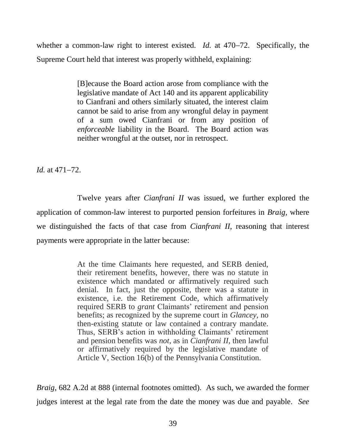whether a common-law right to interest existed. *Id.* at 470–72. Specifically, the Supreme Court held that interest was properly withheld, explaining:

> [B]ecause the Board action arose from compliance with the legislative mandate of Act 140 and its apparent applicability to Cianfrani and others similarly situated, the interest claim cannot be said to arise from any wrongful delay in payment of a sum owed Cianfrani or from any position of *enforceable* liability in the Board. The Board action was neither wrongful at the outset, nor in retrospect.

*Id.* at  $471 - 72$ .

Twelve years after *Cianfrani II* was issued, we further explored the application of common-law interest to purported pension forfeitures in *Braig*, where we distinguished the facts of that case from *Cianfrani II*, reasoning that interest payments were appropriate in the latter because:

> At the time Claimants here requested, and SERB denied, their retirement benefits, however, there was no statute in existence which mandated or affirmatively required such denial. In fact, just the opposite, there was a statute in existence, i.e. the Retirement Code, which affirmatively required SERB to *grant* Claimants' retirement and pension benefits; as recognized by the supreme court in *Glancey,* no then-existing statute or law contained a contrary mandate. Thus, SERB's action in withholding Claimants' retirement and pension benefits was *not,* as in *Cianfrani II,* then lawful or affirmatively required by the legislative mandate of Article V, Section 16(b) of the Pennsylvania Constitution.

*Braig*, 682 A.2d at 888 (internal footnotes omitted). As such, we awarded the former judges interest at the legal rate from the date the money was due and payable. *See*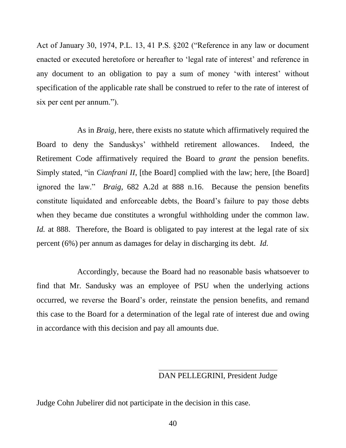Act of January 30, 1974, P.L. 13, 41 P.S. §202 ("Reference in any law or document enacted or executed heretofore or hereafter to 'legal rate of interest' and reference in any document to an obligation to pay a sum of money 'with interest' without specification of the applicable rate shall be construed to refer to the rate of interest of six per cent per annum.").

As in *Braig*, here, there exists no statute which affirmatively required the Board to deny the Sanduskys' withheld retirement allowances. Indeed, the Retirement Code affirmatively required the Board to *grant* the pension benefits. Simply stated, "in *Cianfrani II*, [the Board] complied with the law; here, [the Board] ignored the law." *Braig*, 682 A.2d at 888 n.16. Because the pension benefits constitute liquidated and enforceable debts, the Board's failure to pay those debts when they became due constitutes a wrongful withholding under the common law. *Id.* at 888. Therefore, the Board is obligated to pay interest at the legal rate of six percent (6%) per annum as damages for delay in discharging its debt. *Id.*

Accordingly, because the Board had no reasonable basis whatsoever to find that Mr. Sandusky was an employee of PSU when the underlying actions occurred, we reverse the Board's order, reinstate the pension benefits, and remand this case to the Board for a determination of the legal rate of interest due and owing in accordance with this decision and pay all amounts due.

## DAN PELLEGRINI, President Judge

Judge Cohn Jubelirer did not participate in the decision in this case.